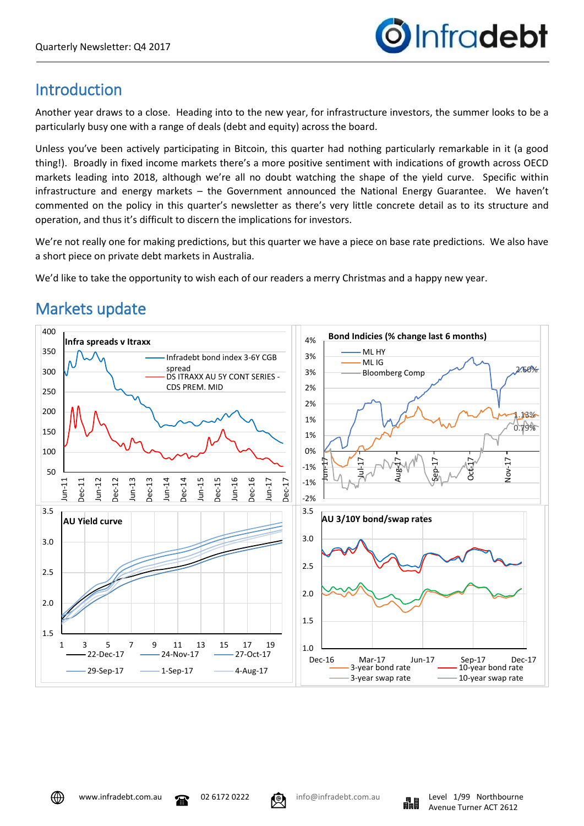

## **Introduction**

Another year draws to a close. Heading into to the new year, for infrastructure investors, the summer looks to be a particularly busy one with a range of deals (debt and equity) across the board.

Unless you've been actively participating in Bitcoin, this quarter had nothing particularly remarkable in it (a good thing!). Broadly in fixed income markets there's a more positive sentiment with indications of growth across OECD markets leading into 2018, although we're all no doubt watching the shape of the yield curve. Specific within infrastructure and energy markets – the Government announced the National Energy Guarantee. We haven't commented on the policy in this quarter's newsletter as there's very little concrete detail as to its structure and operation, and thus it's difficult to discern the implications for investors.

We're not really one for making predictions, but this quarter we have a piece on base rate predictions. We also have a short piece on private debt markets in Australia.

We'd like to take the opportunity to wish each of our readers a merry Christmas and a happy new year.

# Markets update



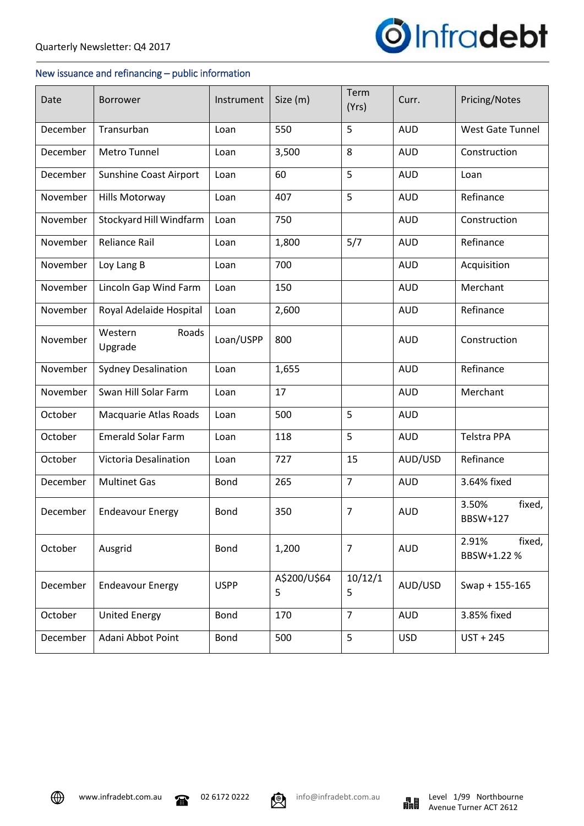

## New issuance and refinancing – public information

| Date     | <b>Borrower</b>               | Instrument  | Size (m)          | Term<br>(Yrs)  | Curr.      | Pricing/Notes                 |
|----------|-------------------------------|-------------|-------------------|----------------|------------|-------------------------------|
| December | Transurban                    | Loan        | 550               | 5              | <b>AUD</b> | <b>West Gate Tunnel</b>       |
| December | Metro Tunnel                  | Loan        | 3,500             | 8              | <b>AUD</b> | Construction                  |
| December | <b>Sunshine Coast Airport</b> | Loan        | 60                | 5              | <b>AUD</b> | Loan                          |
| November | Hills Motorway                | Loan        | 407               | 5              | <b>AUD</b> | Refinance                     |
| November | Stockyard Hill Windfarm       | Loan        | 750               |                | <b>AUD</b> | Construction                  |
| November | <b>Reliance Rail</b>          | Loan        | 1,800             | 5/7            | <b>AUD</b> | Refinance                     |
| November | Loy Lang B                    | Loan        | 700               |                | <b>AUD</b> | Acquisition                   |
| November | Lincoln Gap Wind Farm         | Loan        | 150               |                | <b>AUD</b> | Merchant                      |
| November | Royal Adelaide Hospital       | Loan        | 2,600             |                | <b>AUD</b> | Refinance                     |
| November | Roads<br>Western<br>Upgrade   | Loan/USPP   | 800               |                | <b>AUD</b> | Construction                  |
| November | <b>Sydney Desalination</b>    | Loan        | 1,655             |                | <b>AUD</b> | Refinance                     |
| November | Swan Hill Solar Farm          | Loan        | 17                |                | <b>AUD</b> | Merchant                      |
| October  | Macquarie Atlas Roads         | Loan        | 500               | 5              | <b>AUD</b> |                               |
| October  | <b>Emerald Solar Farm</b>     | Loan        | 118               | 5              | <b>AUD</b> | <b>Telstra PPA</b>            |
| October  | Victoria Desalination         | Loan        | 727               | 15             | AUD/USD    | Refinance                     |
| December | <b>Multinet Gas</b>           | <b>Bond</b> | 265               | $\overline{7}$ | <b>AUD</b> | 3.64% fixed                   |
| December | <b>Endeavour Energy</b>       | <b>Bond</b> | 350               | $\overline{7}$ | <b>AUD</b> | 3.50%<br>fixed,<br>BBSW+127   |
| October  | Ausgrid                       | <b>Bond</b> | 1,200             | $\overline{7}$ | <b>AUD</b> | fixed,<br>2.91%<br>BBSW+1.22% |
| December | <b>Endeavour Energy</b>       | <b>USPP</b> | A\$200/U\$64<br>5 | 10/12/1<br>5   | AUD/USD    | Swap + 155-165                |
| October  | <b>United Energy</b>          | Bond        | 170               | $\overline{7}$ | <b>AUD</b> | 3.85% fixed                   |
| December | Adani Abbot Point             | Bond        | 500               | 5              | <b>USD</b> | $UST + 245$                   |



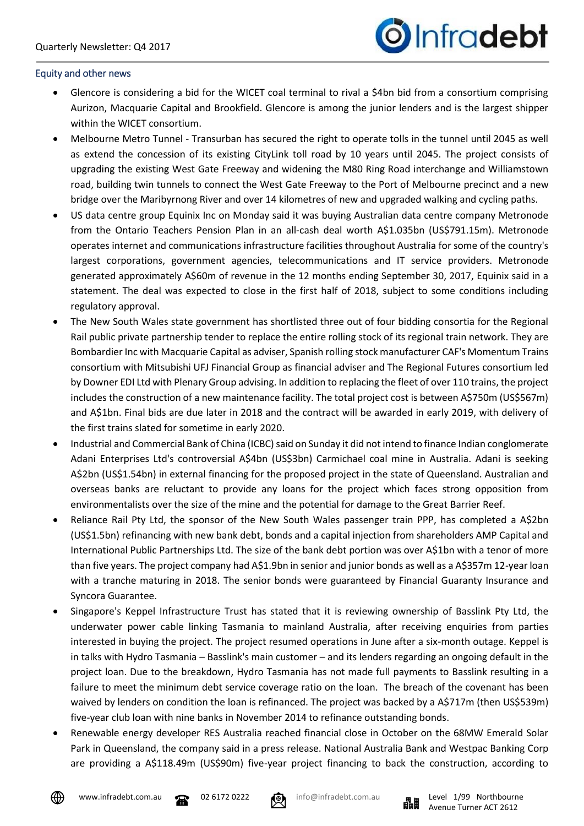

### Equity and other news

- Glencore is considering a bid for the WICET coal terminal to rival a \$4bn bid from a consortium comprising Aurizon, Macquarie Capital and Brookfield. Glencore is among the junior lenders and is the largest shipper within the WICET consortium.
- Melbourne Metro Tunnel Transurban has secured the right to operate tolls in the tunnel until 2045 as well as extend the concession of its existing CityLink toll road by 10 years until 2045. The project consists of upgrading the existing West Gate Freeway and widening the M80 Ring Road interchange and Williamstown road, building twin tunnels to connect the West Gate Freeway to the Port of Melbourne precinct and a new bridge over the Maribyrnong River and over 14 kilometres of new and upgraded walking and cycling paths.
- US data centre group Equinix Inc on Monday said it was buying Australian data centre company Metronode from the Ontario Teachers Pension Plan in an all-cash deal worth A\$1.035bn (US\$791.15m). Metronode operates internet and communications infrastructure facilities throughout Australia for some of the country's largest corporations, government agencies, telecommunications and IT service providers. Metronode generated approximately A\$60m of revenue in the 12 months ending September 30, 2017, Equinix said in a statement. The deal was expected to close in the first half of 2018, subject to some conditions including regulatory approval.
- The New South Wales state government has shortlisted three out of four bidding consortia for the Regional Rail public private partnership tender to replace the entire rolling stock of its regional train network. They are Bombardier Inc with Macquarie Capital as adviser, Spanish rolling stock manufacturer CAF's Momentum Trains consortium with Mitsubishi UFJ Financial Group as financial adviser and The Regional Futures consortium led by Downer EDI Ltd with Plenary Group advising. In addition to replacing the fleet of over 110 trains, the project includes the construction of a new maintenance facility. The total project cost is between A\$750m (US\$567m) and A\$1bn. Final bids are due later in 2018 and the contract will be awarded in early 2019, with delivery of the first trains slated for sometime in early 2020.
- Industrial and Commercial Bank of China (ICBC) said on Sunday it did not intend to finance Indian conglomerate Adani Enterprises Ltd's controversial A\$4bn (US\$3bn) Carmichael coal mine in Australia. Adani is seeking A\$2bn (US\$1.54bn) in external financing for the proposed project in the state of Queensland. Australian and overseas banks are reluctant to provide any loans for the project which faces strong opposition from environmentalists over the size of the mine and the potential for damage to the Great Barrier Reef.
- Reliance Rail Pty Ltd, the sponsor of the New South Wales passenger train PPP, has completed a A\$2bn (US\$1.5bn) refinancing with new bank debt, bonds and a capital injection from shareholders AMP Capital and International Public Partnerships Ltd. The size of the bank debt portion was over A\$1bn with a tenor of more than five years. The project company had A\$1.9bn in senior and junior bonds as well as a A\$357m 12-year loan with a tranche maturing in 2018. The senior bonds were guaranteed by Financial Guaranty Insurance and Syncora Guarantee.
- Singapore's Keppel Infrastructure Trust has stated that it is reviewing ownership of Basslink Pty Ltd, the underwater power cable linking Tasmania to mainland Australia, after receiving enquiries from parties interested in buying the project. The project resumed operations in June after a six-month outage. Keppel is in talks with Hydro Tasmania – Basslink's main customer – and its lenders regarding an ongoing default in the project loan. Due to the breakdown, Hydro Tasmania has not made full payments to Basslink resulting in a failure to meet the minimum debt service coverage ratio on the loan. The breach of the covenant has been waived by lenders on condition the loan is refinanced. The project was backed by a A\$717m (then US\$539m) five-year club loan with nine banks in November 2014 to refinance outstanding bonds.
- Renewable energy developer RES Australia reached financial close in October on the 68MW Emerald Solar Park in Queensland, the company said in a press release. National Australia Bank and Westpac Banking Corp are providing a A\$118.49m (US\$90m) five-year project financing to back the construction, according to



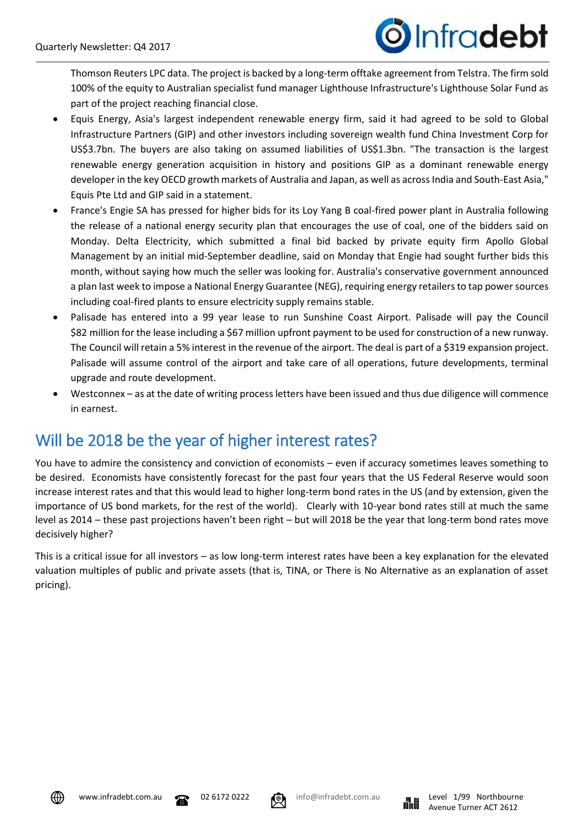# Infradebt

Thomson Reuters LPC data. The project is backed by a long-term offtake agreement from Telstra. The firm sold 100% of the equity to Australian specialist fund manager Lighthouse Infrastructure's Lighthouse Solar Fund as part of the project reaching financial close.

- Equis Energy, Asia's largest independent renewable energy firm, said it had agreed to be sold to Global Infrastructure Partners (GIP) and other investors including sovereign wealth fund China Investment Corp for US\$3.7bn. The buyers are also taking on assumed liabilities of US\$1.3bn. "The transaction is the largest renewable energy generation acquisition in history and positions GIP as a dominant renewable energy developer in the key OECD growth markets of Australia and Japan, as well as across India and South-East Asia," Equis Pte Ltd and GIP said in a statement.
- France's Engie SA has pressed for higher bids for its Loy Yang B coal-fired power plant in Australia following the release of a national energy security plan that encourages the use of coal, one of the bidders said on Monday. Delta Electricity, which submitted a final bid backed by private equity firm Apollo Global Management by an initial mid-September deadline, said on Monday that Engie had sought further bids this month, without saying how much the seller was looking for. Australia's conservative government announced a plan last week to impose a National Energy Guarantee (NEG), requiring energy retailers to tap power sources including coal-fired plants to ensure electricity supply remains stable.
- Palisade has entered into a 99 year lease to run Sunshine Coast Airport. Palisade will pay the Council \$82 million for the lease including a \$67 million upfront payment to be used for construction of a new runway. The Council will retain a 5% interest in the revenue of the airport. The deal is part of a \$319 expansion project. Palisade will assume control of the airport and take care of all operations, future developments, terminal upgrade and route development.
- Westconnex as at the date of writing process letters have been issued and thus due diligence will commence in earnest.

## Will be 2018 be the year of higher interest rates?

You have to admire the consistency and conviction of economists – even if accuracy sometimes leaves something to be desired. Economists have consistently forecast for the past four years that the US Federal Reserve would soon increase interest rates and that this would lead to higher long-term bond rates in the US (and by extension, given the importance of US bond markets, for the rest of the world). Clearly with 10-year bond rates still at much the same level as 2014 – these past projections haven't been right – but will 2018 be the year that long-term bond rates move decisively higher?

This is a critical issue for all investors – as low long-term interest rates have been a key explanation for the elevated valuation multiples of public and private assets (that is, TINA, or There is No Alternative as an explanation of asset pricing).



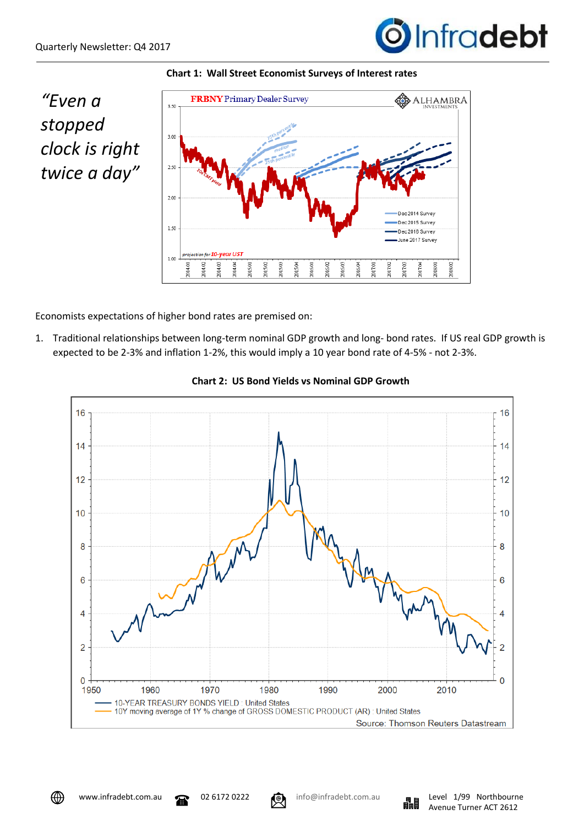



*"Even a stopped clock is right twice a day"*



Economists expectations of higher bond rates are premised on:

1. Traditional relationships between long-term nominal GDP growth and long- bond rates. If US real GDP growth is expected to be 2-3% and inflation 1-2%, this would imply a 10 year bond rate of 4-5% - not 2-3%.



**Chart 2: US Bond Yields vs Nominal GDP Growth**



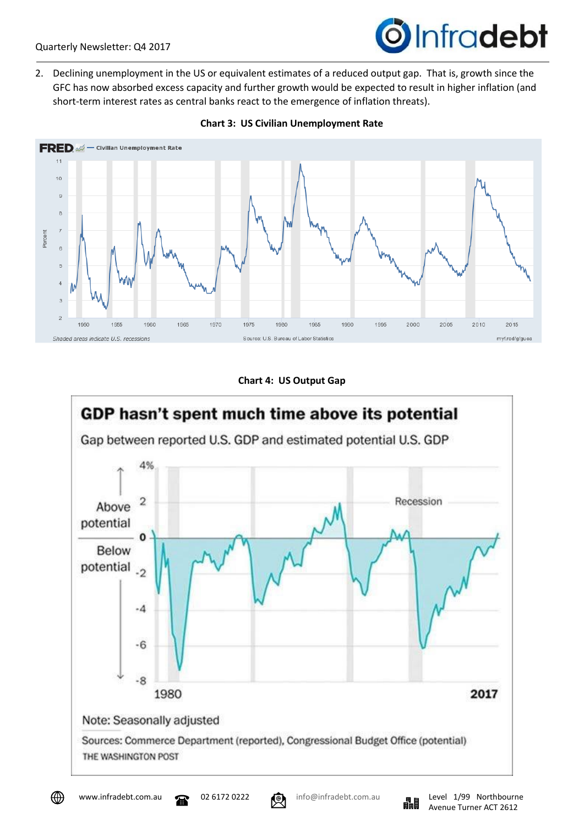# **O**Infradebt

2. Declining unemployment in the US or equivalent estimates of a reduced output gap. That is, growth since the GFC has now absorbed excess capacity and further growth would be expected to result in higher inflation (and short-term interest rates as central banks react to the emergence of inflation threats).



### **Chart 3: US Civilian Unemployment Rate**

### **Chart 4: US Output Gap**





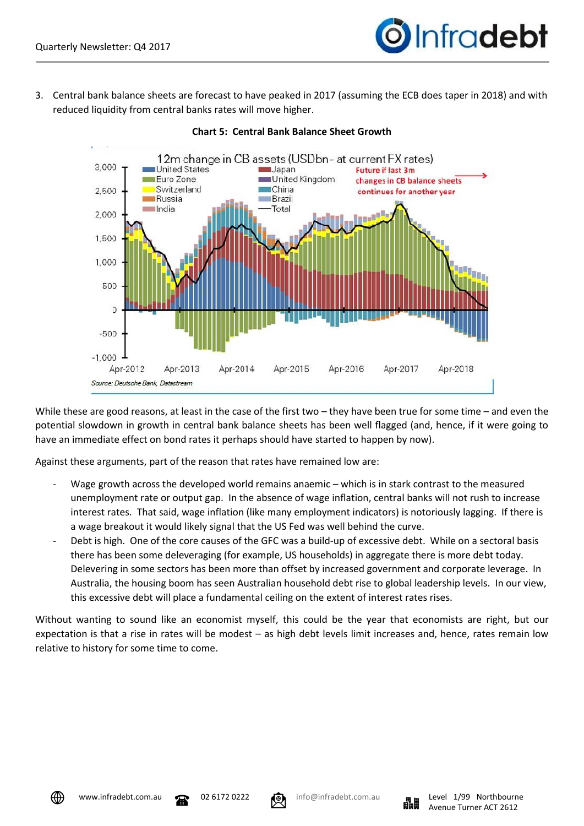

3. Central bank balance sheets are forecast to have peaked in 2017 (assuming the ECB does taper in 2018) and with reduced liquidity from central banks rates will move higher.



### **Chart 5: Central Bank Balance Sheet Growth**

While these are good reasons, at least in the case of the first two – they have been true for some time – and even the potential slowdown in growth in central bank balance sheets has been well flagged (and, hence, if it were going to have an immediate effect on bond rates it perhaps should have started to happen by now).

Against these arguments, part of the reason that rates have remained low are:

- Wage growth across the developed world remains anaemic which is in stark contrast to the measured unemployment rate or output gap. In the absence of wage inflation, central banks will not rush to increase interest rates. That said, wage inflation (like many employment indicators) is notoriously lagging. If there is a wage breakout it would likely signal that the US Fed was well behind the curve.
- Debt is high. One of the core causes of the GFC was a build-up of excessive debt. While on a sectoral basis there has been some deleveraging (for example, US households) in aggregate there is more debt today. Delevering in some sectors has been more than offset by increased government and corporate leverage. In Australia, the housing boom has seen Australian household debt rise to global leadership levels. In our view, this excessive debt will place a fundamental ceiling on the extent of interest rates rises.

Without wanting to sound like an economist myself, this could be the year that economists are right, but our expectation is that a rise in rates will be modest – as high debt levels limit increases and, hence, rates remain low relative to history for some time to come.